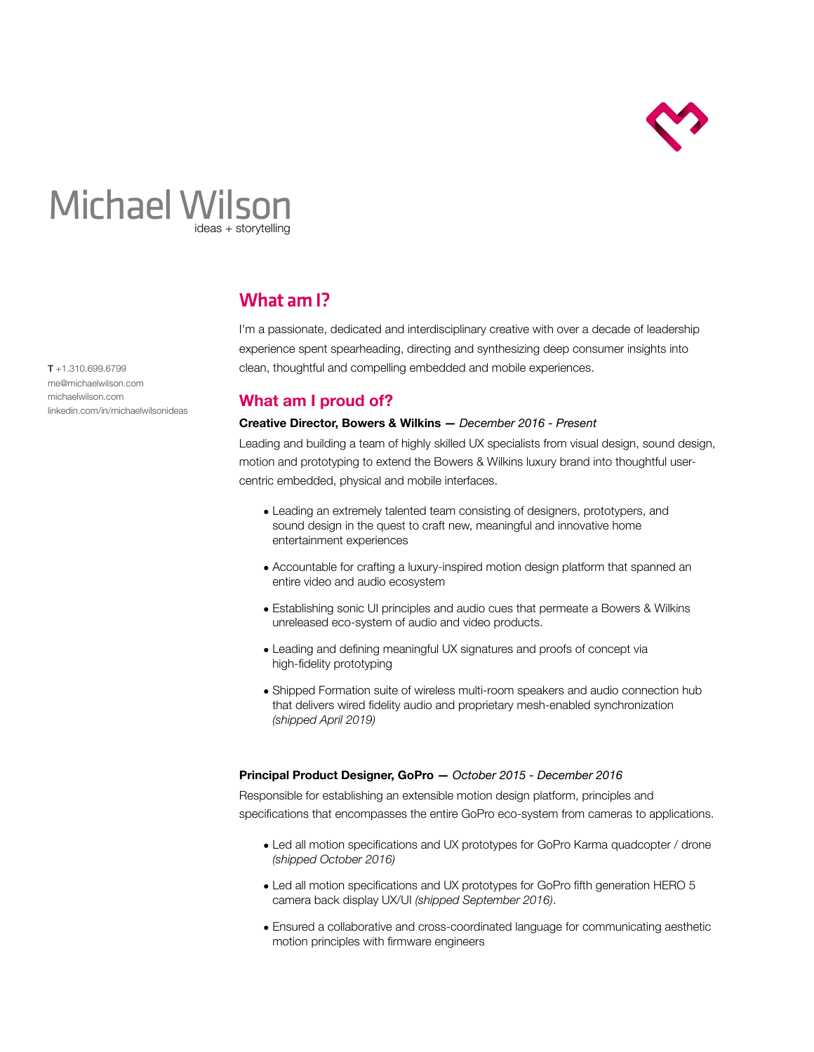

# Michael Wilson ideas + storytelling

**T** +1.310.699.6799 [me@michaelwilson.com](mailto:me@michaelwilson.com) [michaelwilson.com](http://michaelwilson.com) [linkedin.com/in/michaelwilsonideas](http://linkedin.com/in/michaelwilsonideas)

## What am I?

I'm a passionate, dedicated and interdisciplinary creative with over a decade of leadership experience spent spearheading, directing and synthesizing deep consumer insights into clean, thoughtful and compelling embedded and mobile experiences.

### **What am I proud of?**

#### **Creative Director, Bowers & Wilkins —** *December 2016 - Present*

Leading and building a team of highly skilled UX specialists from visual design, sound design, motion and prototyping to extend the Bowers & Wilkins luxury brand into thoughtful usercentric embedded, physical and mobile interfaces.

- Leading an extremely talented team consisting of designers, prototypers, and sound design in the quest to craft new, meaningful and innovative home entertainment experiences
- Accountable for crafting a luxury-inspired motion design platform that spanned an entire video and audio ecosystem
- Establishing sonic UI principles and audio cues that permeate a Bowers & Wilkins unreleased eco-system of audio and video products.
- Leading and defining meaningful UX signatures and proofs of concept via high-fidelity prototyping
- Shipped Formation suite of wireless multi-room speakers and audio connection hub that delivers wired fidelity audio and proprietary mesh-enabled synchronization *(shipped April 2019)*

#### **Principal Product Designer, GoPro —** *October 2015 - December 2016*

Responsible for establishing an extensible motion design platform, principles and specifications that encompasses the entire GoPro eco-system from cameras to applications.

- Led all motion specifications and UX prototypes for GoPro Karma quadcopter / drone *(shipped October 2016)*
- Led all motion specifications and UX prototypes for GoPro fifth generation HERO 5 camera back display UX/UI *(shipped September 2016)*.
- Ensured a collaborative and cross-coordinated language for communicating aesthetic motion principles with firmware engineers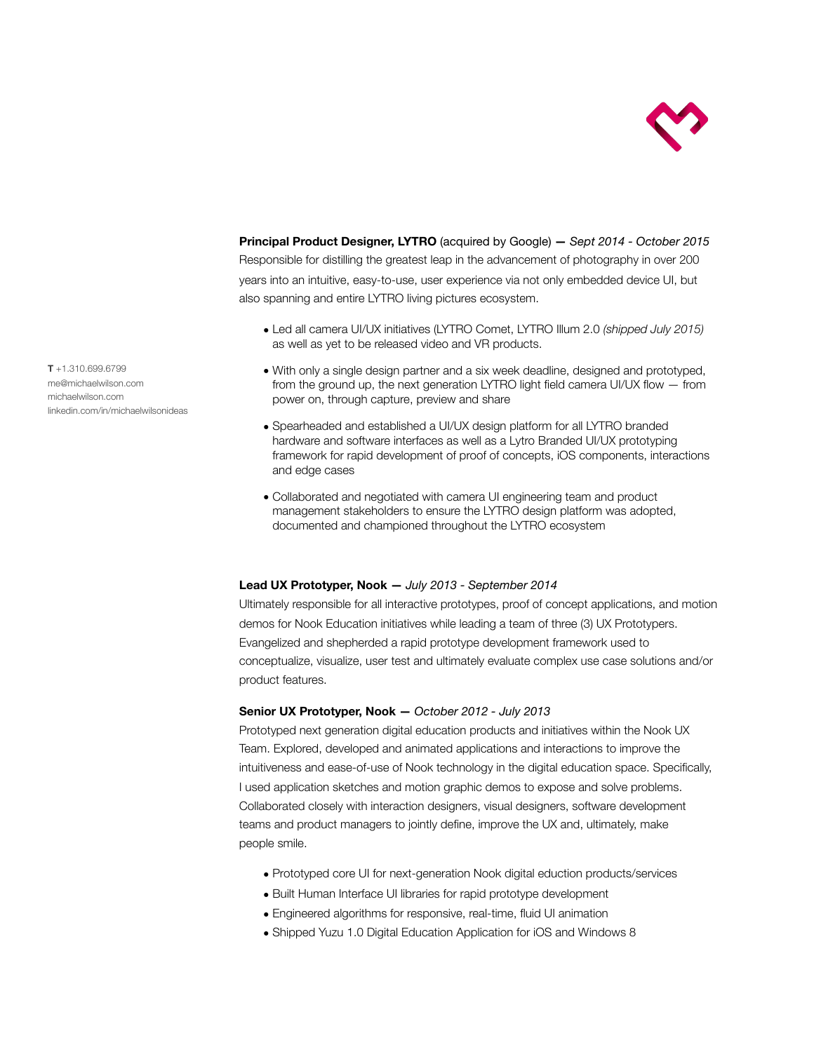

**Principal Product Designer, LYTRO** (acquired by Google) **—** *Sept 2014 - October 2015* Responsible for distilling the greatest leap in the advancement of photography in over 200 years into an intuitive, easy-to-use, user experience via not only embedded device UI, but also spanning and entire LYTRO living pictures ecosystem.

- Led all camera UI/UX initiatives (LYTRO Comet, LYTRO Illum 2.0 *(shipped July 2015)*  as well as yet to be released video and VR products.
- With only a single design partner and a six week deadline, designed and prototyped, from the ground up, the next generation LYTRO light field camera UI/UX flow — from power on, through capture, preview and share
- Spearheaded and established a UI/UX design platform for all LYTRO branded hardware and software interfaces as well as a Lytro Branded UI/UX prototyping framework for rapid development of proof of concepts, iOS components, interactions and edge cases
- Collaborated and negotiated with camera UI engineering team and product management stakeholders to ensure the LYTRO design platform was adopted, documented and championed throughout the LYTRO ecosystem

#### **Lead UX Prototyper, Nook —** *July 2013 - September 2014*

Ultimately responsible for all interactive prototypes, proof of concept applications, and motion demos for Nook Education initiatives while leading a team of three (3) UX Prototypers. Evangelized and shepherded a rapid prototype development framework used to conceptualize, visualize, user test and ultimately evaluate complex use case solutions and/or product features.

#### **Senior UX Prototyper, Nook —** *October 2012 - July 2013*

Prototyped next generation digital education products and initiatives within the Nook UX Team. Explored, developed and animated applications and interactions to improve the intuitiveness and ease-of-use of Nook technology in the digital education space. Specifically, I used application sketches and motion graphic demos to expose and solve problems. Collaborated closely with interaction designers, visual designers, software development teams and product managers to jointly define, improve the UX and, ultimately, make people smile.

- Prototyped core UI for next-generation Nook digital eduction products/services
- Built Human Interface UI libraries for rapid prototype development
- Engineered algorithms for responsive, real-time, fluid UI animation
- Shipped Yuzu 1.0 Digital Education Application for iOS and Windows 8

**T** +1.310.699.6799 [me@michaelwilson.com](mailto:me@michaelwilson.com) [michaelwilson.com](http://michaelwilson.com) [linkedin.com/in/michaelwilsonideas](http://linkedin.com/in/michaelwilsonideas)